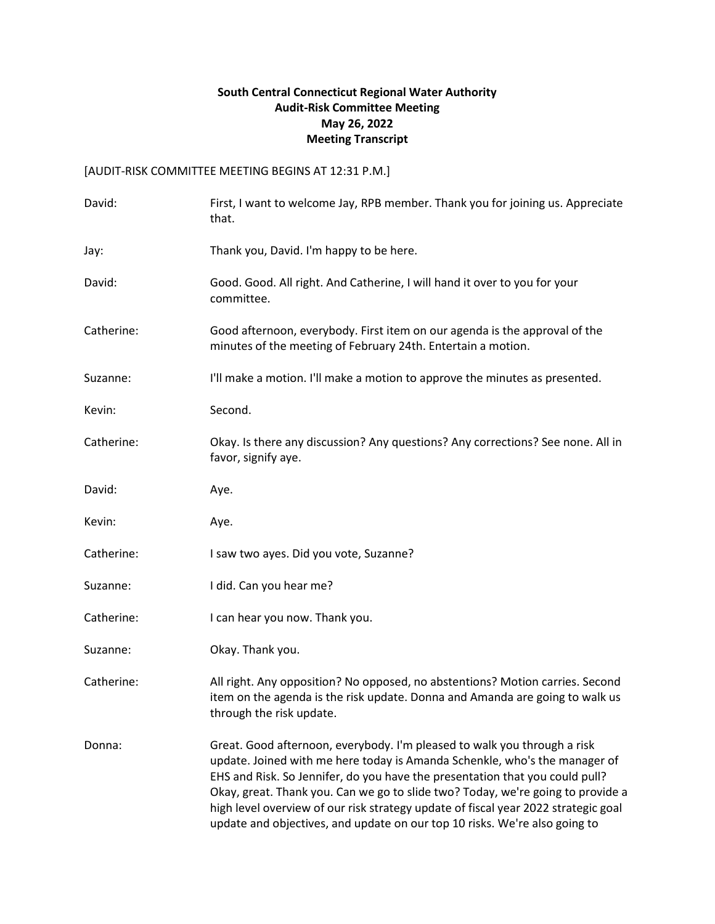## **South Central Connecticut Regional Water Authority Audit-Risk Committee Meeting May 26, 2022 Meeting Transcript**

## [AUDIT-RISK COMMITTEE MEETING BEGINS AT 12:31 P.M.]

| David:     | First, I want to welcome Jay, RPB member. Thank you for joining us. Appreciate<br>that.                                                                                                                                                                                                                                                                                                                                                                                                       |
|------------|-----------------------------------------------------------------------------------------------------------------------------------------------------------------------------------------------------------------------------------------------------------------------------------------------------------------------------------------------------------------------------------------------------------------------------------------------------------------------------------------------|
| Jay:       | Thank you, David. I'm happy to be here.                                                                                                                                                                                                                                                                                                                                                                                                                                                       |
| David:     | Good. Good. All right. And Catherine, I will hand it over to you for your<br>committee.                                                                                                                                                                                                                                                                                                                                                                                                       |
| Catherine: | Good afternoon, everybody. First item on our agenda is the approval of the<br>minutes of the meeting of February 24th. Entertain a motion.                                                                                                                                                                                                                                                                                                                                                    |
| Suzanne:   | I'll make a motion. I'll make a motion to approve the minutes as presented.                                                                                                                                                                                                                                                                                                                                                                                                                   |
| Kevin:     | Second.                                                                                                                                                                                                                                                                                                                                                                                                                                                                                       |
| Catherine: | Okay. Is there any discussion? Any questions? Any corrections? See none. All in<br>favor, signify aye.                                                                                                                                                                                                                                                                                                                                                                                        |
| David:     | Aye.                                                                                                                                                                                                                                                                                                                                                                                                                                                                                          |
| Kevin:     | Aye.                                                                                                                                                                                                                                                                                                                                                                                                                                                                                          |
| Catherine: | I saw two ayes. Did you vote, Suzanne?                                                                                                                                                                                                                                                                                                                                                                                                                                                        |
| Suzanne:   | I did. Can you hear me?                                                                                                                                                                                                                                                                                                                                                                                                                                                                       |
| Catherine: | I can hear you now. Thank you.                                                                                                                                                                                                                                                                                                                                                                                                                                                                |
| Suzanne:   | Okay. Thank you.                                                                                                                                                                                                                                                                                                                                                                                                                                                                              |
| Catherine: | All right. Any opposition? No opposed, no abstentions? Motion carries. Second<br>item on the agenda is the risk update. Donna and Amanda are going to walk us<br>through the risk update.                                                                                                                                                                                                                                                                                                     |
| Donna:     | Great. Good afternoon, everybody. I'm pleased to walk you through a risk<br>update. Joined with me here today is Amanda Schenkle, who's the manager of<br>EHS and Risk. So Jennifer, do you have the presentation that you could pull?<br>Okay, great. Thank you. Can we go to slide two? Today, we're going to provide a<br>high level overview of our risk strategy update of fiscal year 2022 strategic goal<br>update and objectives, and update on our top 10 risks. We're also going to |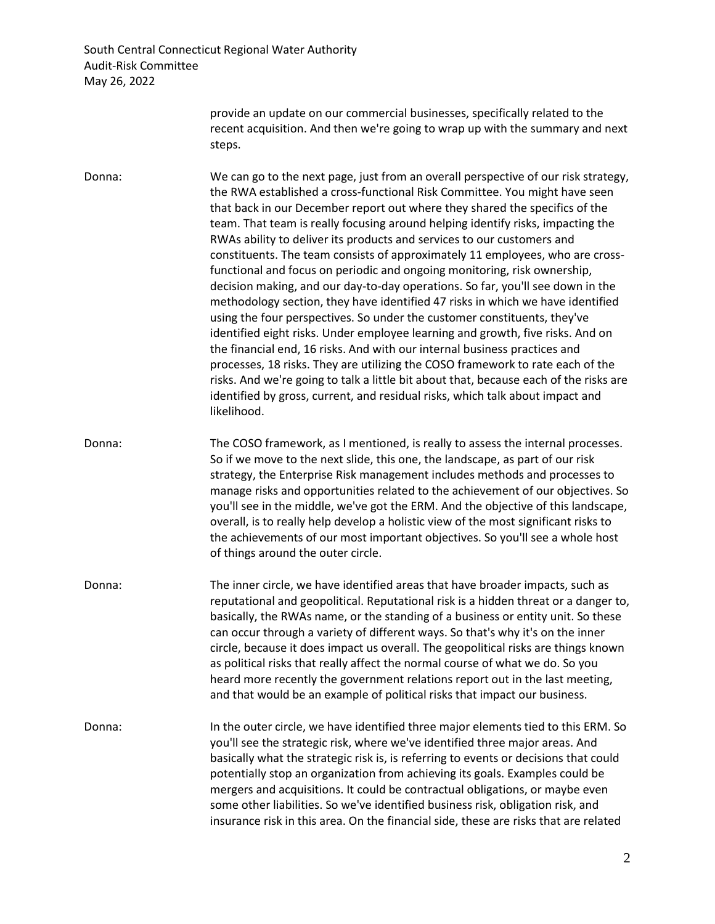> provide an update on our commercial businesses, specifically related to the recent acquisition. And then we're going to wrap up with the summary and next steps.

Donna: We can go to the next page, just from an overall perspective of our risk strategy, the RWA established a cross-functional Risk Committee. You might have seen that back in our December report out where they shared the specifics of the team. That team is really focusing around helping identify risks, impacting the RWAs ability to deliver its products and services to our customers and constituents. The team consists of approximately 11 employees, who are crossfunctional and focus on periodic and ongoing monitoring, risk ownership, decision making, and our day-to-day operations. So far, you'll see down in the methodology section, they have identified 47 risks in which we have identified using the four perspectives. So under the customer constituents, they've identified eight risks. Under employee learning and growth, five risks. And on the financial end, 16 risks. And with our internal business practices and processes, 18 risks. They are utilizing the COSO framework to rate each of the risks. And we're going to talk a little bit about that, because each of the risks are identified by gross, current, and residual risks, which talk about impact and likelihood.

Donna: The COSO framework, as I mentioned, is really to assess the internal processes. So if we move to the next slide, this one, the landscape, as part of our risk strategy, the Enterprise Risk management includes methods and processes to manage risks and opportunities related to the achievement of our objectives. So you'll see in the middle, we've got the ERM. And the objective of this landscape, overall, is to really help develop a holistic view of the most significant risks to the achievements of our most important objectives. So you'll see a whole host of things around the outer circle.

- Donna: The inner circle, we have identified areas that have broader impacts, such as reputational and geopolitical. Reputational risk is a hidden threat or a danger to, basically, the RWAs name, or the standing of a business or entity unit. So these can occur through a variety of different ways. So that's why it's on the inner circle, because it does impact us overall. The geopolitical risks are things known as political risks that really affect the normal course of what we do. So you heard more recently the government relations report out in the last meeting, and that would be an example of political risks that impact our business.
- Donna: In the outer circle, we have identified three major elements tied to this ERM. So you'll see the strategic risk, where we've identified three major areas. And basically what the strategic risk is, is referring to events or decisions that could potentially stop an organization from achieving its goals. Examples could be mergers and acquisitions. It could be contractual obligations, or maybe even some other liabilities. So we've identified business risk, obligation risk, and insurance risk in this area. On the financial side, these are risks that are related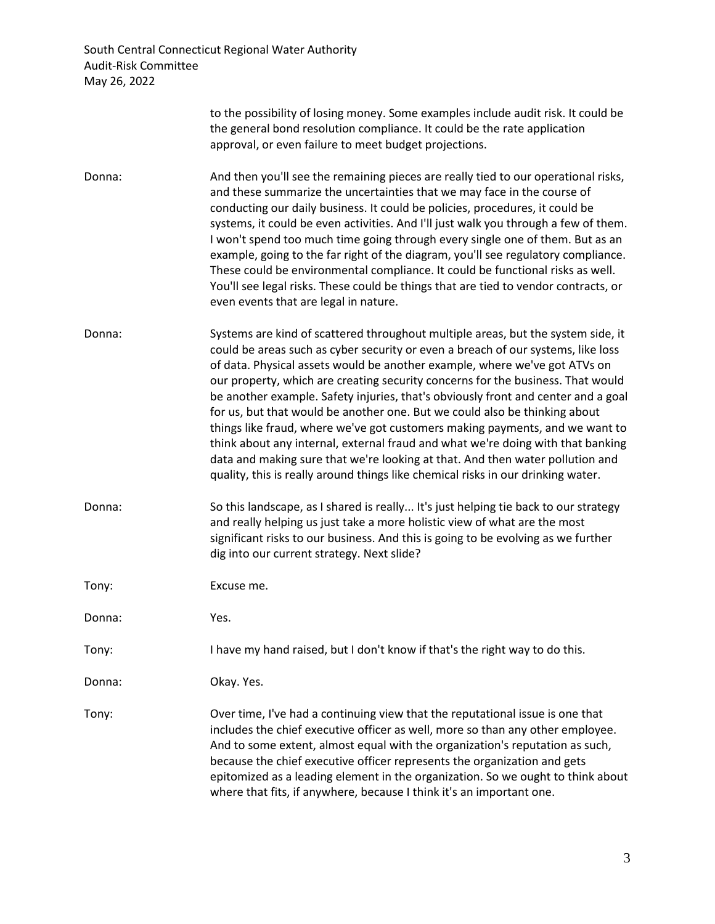|        | to the possibility of losing money. Some examples include audit risk. It could be<br>the general bond resolution compliance. It could be the rate application<br>approval, or even failure to meet budget projections.                                                                                                                                                                                                                                                                                                                                                                                                                                                                                                                                                                                                                           |
|--------|--------------------------------------------------------------------------------------------------------------------------------------------------------------------------------------------------------------------------------------------------------------------------------------------------------------------------------------------------------------------------------------------------------------------------------------------------------------------------------------------------------------------------------------------------------------------------------------------------------------------------------------------------------------------------------------------------------------------------------------------------------------------------------------------------------------------------------------------------|
| Donna: | And then you'll see the remaining pieces are really tied to our operational risks,<br>and these summarize the uncertainties that we may face in the course of<br>conducting our daily business. It could be policies, procedures, it could be<br>systems, it could be even activities. And I'll just walk you through a few of them.<br>I won't spend too much time going through every single one of them. But as an<br>example, going to the far right of the diagram, you'll see regulatory compliance.<br>These could be environmental compliance. It could be functional risks as well.<br>You'll see legal risks. These could be things that are tied to vendor contracts, or<br>even events that are legal in nature.                                                                                                                     |
| Donna: | Systems are kind of scattered throughout multiple areas, but the system side, it<br>could be areas such as cyber security or even a breach of our systems, like loss<br>of data. Physical assets would be another example, where we've got ATVs on<br>our property, which are creating security concerns for the business. That would<br>be another example. Safety injuries, that's obviously front and center and a goal<br>for us, but that would be another one. But we could also be thinking about<br>things like fraud, where we've got customers making payments, and we want to<br>think about any internal, external fraud and what we're doing with that banking<br>data and making sure that we're looking at that. And then water pollution and<br>quality, this is really around things like chemical risks in our drinking water. |
| Donna: | So this landscape, as I shared is really It's just helping tie back to our strategy<br>and really helping us just take a more holistic view of what are the most<br>significant risks to our business. And this is going to be evolving as we further<br>dig into our current strategy. Next slide?                                                                                                                                                                                                                                                                                                                                                                                                                                                                                                                                              |
| Tony:  | Excuse me.                                                                                                                                                                                                                                                                                                                                                                                                                                                                                                                                                                                                                                                                                                                                                                                                                                       |
| Donna: | Yes.                                                                                                                                                                                                                                                                                                                                                                                                                                                                                                                                                                                                                                                                                                                                                                                                                                             |
| Tony:  | I have my hand raised, but I don't know if that's the right way to do this.                                                                                                                                                                                                                                                                                                                                                                                                                                                                                                                                                                                                                                                                                                                                                                      |
| Donna: | Okay. Yes.                                                                                                                                                                                                                                                                                                                                                                                                                                                                                                                                                                                                                                                                                                                                                                                                                                       |
| Tony:  | Over time, I've had a continuing view that the reputational issue is one that<br>includes the chief executive officer as well, more so than any other employee.<br>And to some extent, almost equal with the organization's reputation as such,<br>because the chief executive officer represents the organization and gets<br>epitomized as a leading element in the organization. So we ought to think about<br>where that fits, if anywhere, because I think it's an important one.                                                                                                                                                                                                                                                                                                                                                           |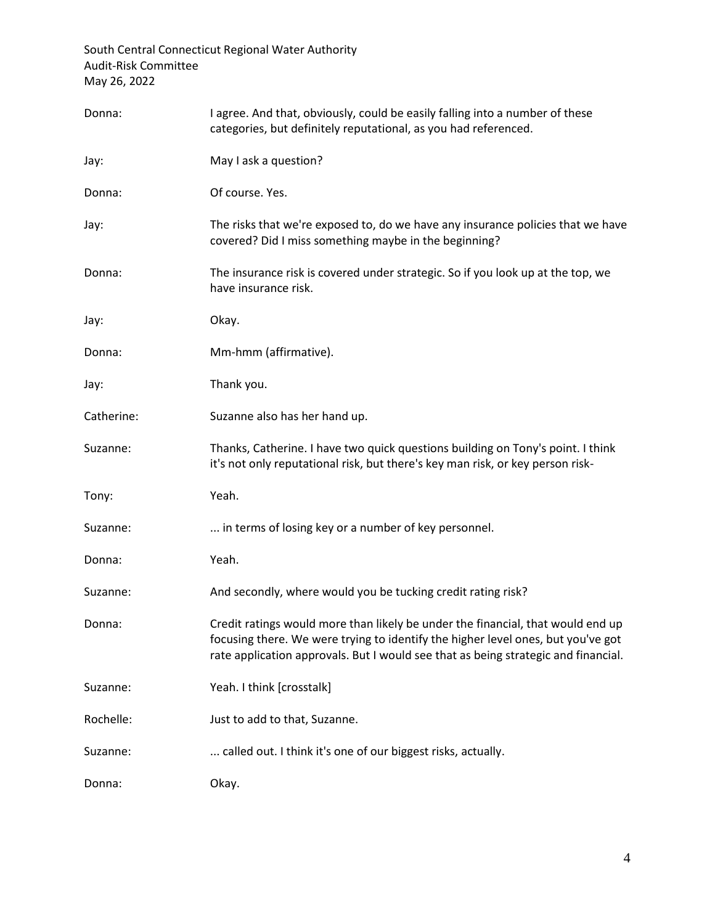| Donna:     | I agree. And that, obviously, could be easily falling into a number of these<br>categories, but definitely reputational, as you had referenced.                                                                                                           |
|------------|-----------------------------------------------------------------------------------------------------------------------------------------------------------------------------------------------------------------------------------------------------------|
| Jay:       | May I ask a question?                                                                                                                                                                                                                                     |
| Donna:     | Of course. Yes.                                                                                                                                                                                                                                           |
| Jay:       | The risks that we're exposed to, do we have any insurance policies that we have<br>covered? Did I miss something maybe in the beginning?                                                                                                                  |
| Donna:     | The insurance risk is covered under strategic. So if you look up at the top, we<br>have insurance risk.                                                                                                                                                   |
| Jay:       | Okay.                                                                                                                                                                                                                                                     |
| Donna:     | Mm-hmm (affirmative).                                                                                                                                                                                                                                     |
| Jay:       | Thank you.                                                                                                                                                                                                                                                |
| Catherine: | Suzanne also has her hand up.                                                                                                                                                                                                                             |
| Suzanne:   | Thanks, Catherine. I have two quick questions building on Tony's point. I think<br>it's not only reputational risk, but there's key man risk, or key person risk-                                                                                         |
| Tony:      | Yeah.                                                                                                                                                                                                                                                     |
| Suzanne:   | in terms of losing key or a number of key personnel.                                                                                                                                                                                                      |
| Donna:     | Yeah.                                                                                                                                                                                                                                                     |
| Suzanne:   | And secondly, where would you be tucking credit rating risk?                                                                                                                                                                                              |
| Donna:     | Credit ratings would more than likely be under the financial, that would end up<br>focusing there. We were trying to identify the higher level ones, but you've got<br>rate application approvals. But I would see that as being strategic and financial. |
| Suzanne:   | Yeah. I think [crosstalk]                                                                                                                                                                                                                                 |
| Rochelle:  | Just to add to that, Suzanne.                                                                                                                                                                                                                             |
| Suzanne:   | called out. I think it's one of our biggest risks, actually.                                                                                                                                                                                              |
| Donna:     | Okay.                                                                                                                                                                                                                                                     |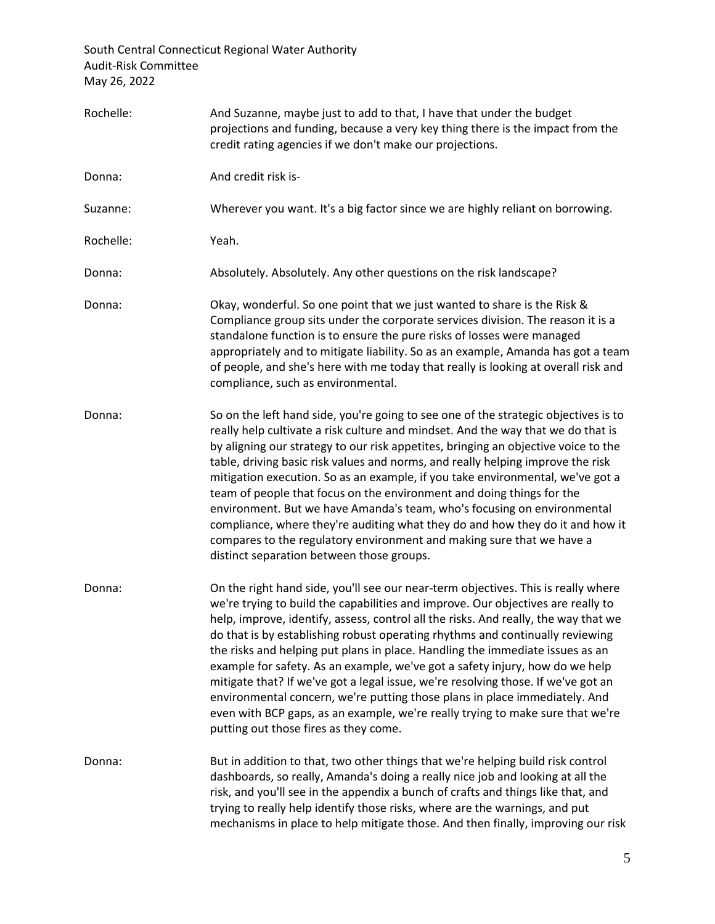| Rochelle: | And Suzanne, maybe just to add to that, I have that under the budget<br>projections and funding, because a very key thing there is the impact from the<br>credit rating agencies if we don't make our projections.                                                                                                                                                                                                                                                                                                                                                                                                                                                                                                                                                                                           |
|-----------|--------------------------------------------------------------------------------------------------------------------------------------------------------------------------------------------------------------------------------------------------------------------------------------------------------------------------------------------------------------------------------------------------------------------------------------------------------------------------------------------------------------------------------------------------------------------------------------------------------------------------------------------------------------------------------------------------------------------------------------------------------------------------------------------------------------|
| Donna:    | And credit risk is-                                                                                                                                                                                                                                                                                                                                                                                                                                                                                                                                                                                                                                                                                                                                                                                          |
| Suzanne:  | Wherever you want. It's a big factor since we are highly reliant on borrowing.                                                                                                                                                                                                                                                                                                                                                                                                                                                                                                                                                                                                                                                                                                                               |
| Rochelle: | Yeah.                                                                                                                                                                                                                                                                                                                                                                                                                                                                                                                                                                                                                                                                                                                                                                                                        |
| Donna:    | Absolutely. Absolutely. Any other questions on the risk landscape?                                                                                                                                                                                                                                                                                                                                                                                                                                                                                                                                                                                                                                                                                                                                           |
| Donna:    | Okay, wonderful. So one point that we just wanted to share is the Risk &<br>Compliance group sits under the corporate services division. The reason it is a<br>standalone function is to ensure the pure risks of losses were managed<br>appropriately and to mitigate liability. So as an example, Amanda has got a team<br>of people, and she's here with me today that really is looking at overall risk and<br>compliance, such as environmental.                                                                                                                                                                                                                                                                                                                                                        |
| Donna:    | So on the left hand side, you're going to see one of the strategic objectives is to<br>really help cultivate a risk culture and mindset. And the way that we do that is<br>by aligning our strategy to our risk appetites, bringing an objective voice to the<br>table, driving basic risk values and norms, and really helping improve the risk<br>mitigation execution. So as an example, if you take environmental, we've got a<br>team of people that focus on the environment and doing things for the<br>environment. But we have Amanda's team, who's focusing on environmental<br>compliance, where they're auditing what they do and how they do it and how it<br>compares to the regulatory environment and making sure that we have a<br>distinct separation between those groups.                |
| Donna:    | On the right hand side, you'll see our near-term objectives. This is really where<br>we're trying to build the capabilities and improve. Our objectives are really to<br>help, improve, identify, assess, control all the risks. And really, the way that we<br>do that is by establishing robust operating rhythms and continually reviewing<br>the risks and helping put plans in place. Handling the immediate issues as an<br>example for safety. As an example, we've got a safety injury, how do we help<br>mitigate that? If we've got a legal issue, we're resolving those. If we've got an<br>environmental concern, we're putting those plans in place immediately. And<br>even with BCP gaps, as an example, we're really trying to make sure that we're<br>putting out those fires as they come. |
| Donna:    | But in addition to that, two other things that we're helping build risk control<br>dashboards, so really, Amanda's doing a really nice job and looking at all the<br>risk, and you'll see in the appendix a bunch of crafts and things like that, and<br>trying to really help identify those risks, where are the warnings, and put<br>mechanisms in place to help mitigate those. And then finally, improving our risk                                                                                                                                                                                                                                                                                                                                                                                     |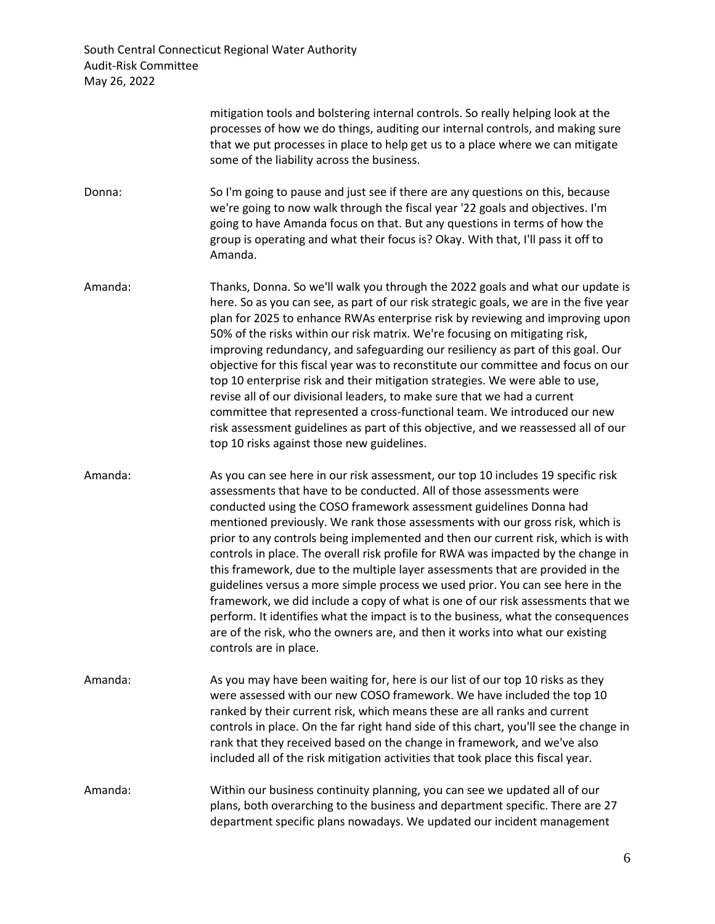> mitigation tools and bolstering internal controls. So really helping look at the processes of how we do things, auditing our internal controls, and making sure that we put processes in place to help get us to a place where we can mitigate some of the liability across the business.

- Donna: So I'm going to pause and just see if there are any questions on this, because we're going to now walk through the fiscal year '22 goals and objectives. I'm going to have Amanda focus on that. But any questions in terms of how the group is operating and what their focus is? Okay. With that, I'll pass it off to Amanda.
- Amanda: Thanks, Donna. So we'll walk you through the 2022 goals and what our update is here. So as you can see, as part of our risk strategic goals, we are in the five year plan for 2025 to enhance RWAs enterprise risk by reviewing and improving upon 50% of the risks within our risk matrix. We're focusing on mitigating risk, improving redundancy, and safeguarding our resiliency as part of this goal. Our objective for this fiscal year was to reconstitute our committee and focus on our top 10 enterprise risk and their mitigation strategies. We were able to use, revise all of our divisional leaders, to make sure that we had a current committee that represented a cross-functional team. We introduced our new risk assessment guidelines as part of this objective, and we reassessed all of our top 10 risks against those new guidelines.
- Amanda: As you can see here in our risk assessment, our top 10 includes 19 specific risk assessments that have to be conducted. All of those assessments were conducted using the COSO framework assessment guidelines Donna had mentioned previously. We rank those assessments with our gross risk, which is prior to any controls being implemented and then our current risk, which is with controls in place. The overall risk profile for RWA was impacted by the change in this framework, due to the multiple layer assessments that are provided in the guidelines versus a more simple process we used prior. You can see here in the framework, we did include a copy of what is one of our risk assessments that we perform. It identifies what the impact is to the business, what the consequences are of the risk, who the owners are, and then it works into what our existing controls are in place.
- Amanda: As you may have been waiting for, here is our list of our top 10 risks as they were assessed with our new COSO framework. We have included the top 10 ranked by their current risk, which means these are all ranks and current controls in place. On the far right hand side of this chart, you'll see the change in rank that they received based on the change in framework, and we've also included all of the risk mitigation activities that took place this fiscal year.
- Amanda: Within our business continuity planning, you can see we updated all of our plans, both overarching to the business and department specific. There are 27 department specific plans nowadays. We updated our incident management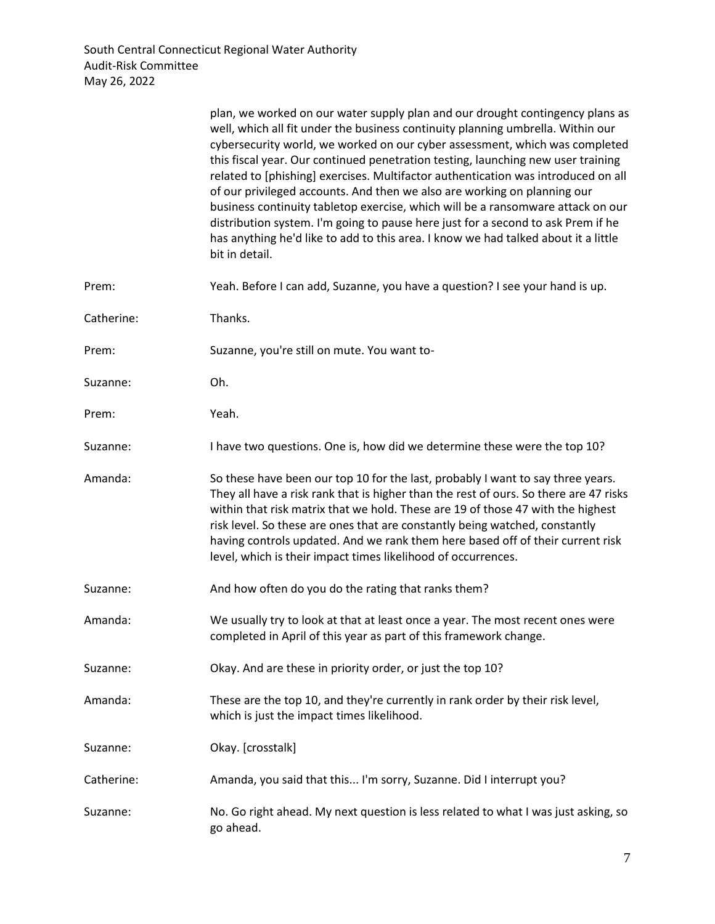|            | plan, we worked on our water supply plan and our drought contingency plans as<br>well, which all fit under the business continuity planning umbrella. Within our<br>cybersecurity world, we worked on our cyber assessment, which was completed<br>this fiscal year. Our continued penetration testing, launching new user training<br>related to [phishing] exercises. Multifactor authentication was introduced on all<br>of our privileged accounts. And then we also are working on planning our<br>business continuity tabletop exercise, which will be a ransomware attack on our<br>distribution system. I'm going to pause here just for a second to ask Prem if he<br>has anything he'd like to add to this area. I know we had talked about it a little<br>bit in detail. |
|------------|-------------------------------------------------------------------------------------------------------------------------------------------------------------------------------------------------------------------------------------------------------------------------------------------------------------------------------------------------------------------------------------------------------------------------------------------------------------------------------------------------------------------------------------------------------------------------------------------------------------------------------------------------------------------------------------------------------------------------------------------------------------------------------------|
| Prem:      | Yeah. Before I can add, Suzanne, you have a question? I see your hand is up.                                                                                                                                                                                                                                                                                                                                                                                                                                                                                                                                                                                                                                                                                                        |
| Catherine: | Thanks.                                                                                                                                                                                                                                                                                                                                                                                                                                                                                                                                                                                                                                                                                                                                                                             |
| Prem:      | Suzanne, you're still on mute. You want to-                                                                                                                                                                                                                                                                                                                                                                                                                                                                                                                                                                                                                                                                                                                                         |
| Suzanne:   | Oh.                                                                                                                                                                                                                                                                                                                                                                                                                                                                                                                                                                                                                                                                                                                                                                                 |
| Prem:      | Yeah.                                                                                                                                                                                                                                                                                                                                                                                                                                                                                                                                                                                                                                                                                                                                                                               |
| Suzanne:   | I have two questions. One is, how did we determine these were the top 10?                                                                                                                                                                                                                                                                                                                                                                                                                                                                                                                                                                                                                                                                                                           |
| Amanda:    | So these have been our top 10 for the last, probably I want to say three years.<br>They all have a risk rank that is higher than the rest of ours. So there are 47 risks<br>within that risk matrix that we hold. These are 19 of those 47 with the highest<br>risk level. So these are ones that are constantly being watched, constantly<br>having controls updated. And we rank them here based off of their current risk<br>level, which is their impact times likelihood of occurrences.                                                                                                                                                                                                                                                                                       |
| Suzanne:   | And how often do you do the rating that ranks them?                                                                                                                                                                                                                                                                                                                                                                                                                                                                                                                                                                                                                                                                                                                                 |
| Amanda:    | We usually try to look at that at least once a year. The most recent ones were<br>completed in April of this year as part of this framework change.                                                                                                                                                                                                                                                                                                                                                                                                                                                                                                                                                                                                                                 |
| Suzanne:   | Okay. And are these in priority order, or just the top 10?                                                                                                                                                                                                                                                                                                                                                                                                                                                                                                                                                                                                                                                                                                                          |
| Amanda:    | These are the top 10, and they're currently in rank order by their risk level,<br>which is just the impact times likelihood.                                                                                                                                                                                                                                                                                                                                                                                                                                                                                                                                                                                                                                                        |
| Suzanne:   | Okay. [crosstalk]                                                                                                                                                                                                                                                                                                                                                                                                                                                                                                                                                                                                                                                                                                                                                                   |
| Catherine: | Amanda, you said that this I'm sorry, Suzanne. Did I interrupt you?                                                                                                                                                                                                                                                                                                                                                                                                                                                                                                                                                                                                                                                                                                                 |
| Suzanne:   | No. Go right ahead. My next question is less related to what I was just asking, so<br>go ahead.                                                                                                                                                                                                                                                                                                                                                                                                                                                                                                                                                                                                                                                                                     |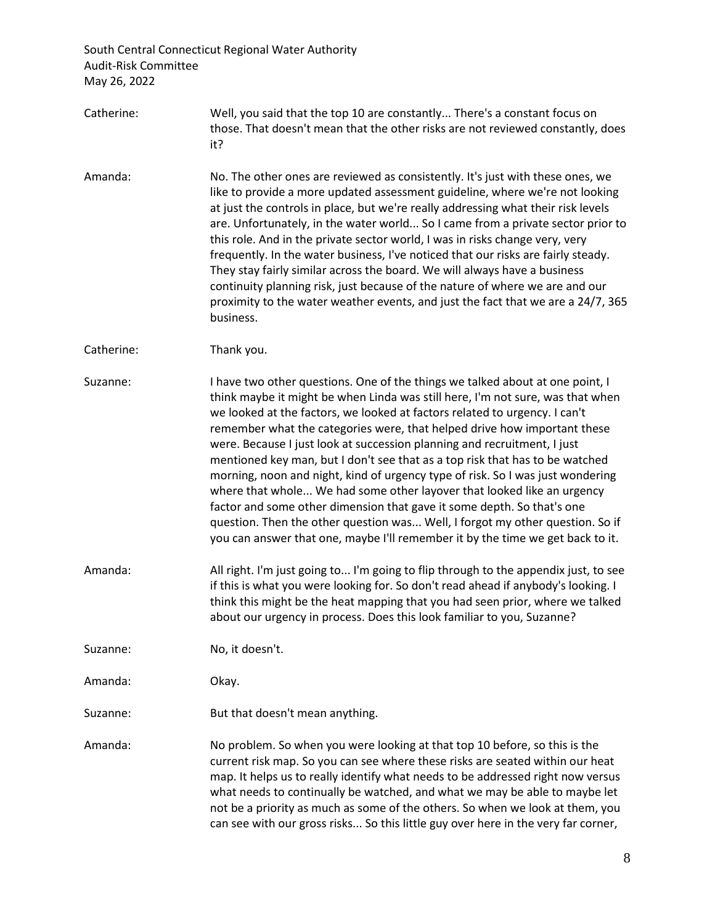- Catherine: Well, you said that the top 10 are constantly... There's a constant focus on those. That doesn't mean that the other risks are not reviewed constantly, does it?
- Amanda: No. The other ones are reviewed as consistently. It's just with these ones, we like to provide a more updated assessment guideline, where we're not looking at just the controls in place, but we're really addressing what their risk levels are. Unfortunately, in the water world... So I came from a private sector prior to this role. And in the private sector world, I was in risks change very, very frequently. In the water business, I've noticed that our risks are fairly steady. They stay fairly similar across the board. We will always have a business continuity planning risk, just because of the nature of where we are and our proximity to the water weather events, and just the fact that we are a 24/7, 365 business.

Catherine: Thank you.

- Suzanne: I have two other questions. One of the things we talked about at one point, I think maybe it might be when Linda was still here, I'm not sure, was that when we looked at the factors, we looked at factors related to urgency. I can't remember what the categories were, that helped drive how important these were. Because I just look at succession planning and recruitment, I just mentioned key man, but I don't see that as a top risk that has to be watched morning, noon and night, kind of urgency type of risk. So I was just wondering where that whole... We had some other layover that looked like an urgency factor and some other dimension that gave it some depth. So that's one question. Then the other question was... Well, I forgot my other question. So if you can answer that one, maybe I'll remember it by the time we get back to it.
- Amanda: All right. I'm just going to... I'm going to flip through to the appendix just, to see if this is what you were looking for. So don't read ahead if anybody's looking. I think this might be the heat mapping that you had seen prior, where we talked about our urgency in process. Does this look familiar to you, Suzanne?

Suzanne: No, it doesn't.

Amanda: Okay.

Suzanne: But that doesn't mean anything.

Amanda: No problem. So when you were looking at that top 10 before, so this is the current risk map. So you can see where these risks are seated within our heat map. It helps us to really identify what needs to be addressed right now versus what needs to continually be watched, and what we may be able to maybe let not be a priority as much as some of the others. So when we look at them, you can see with our gross risks... So this little guy over here in the very far corner,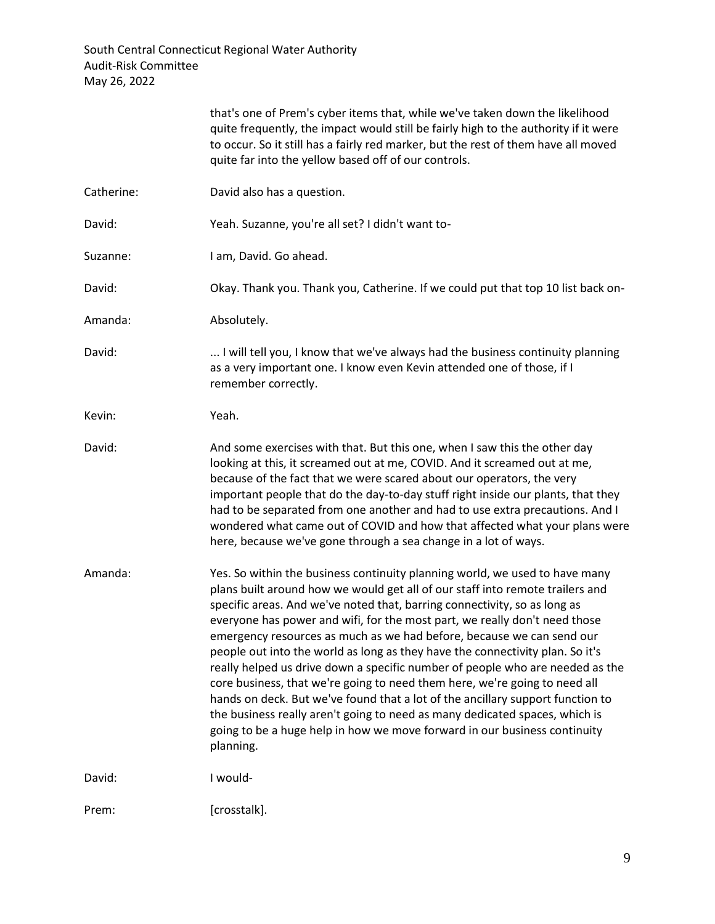|            | that's one of Prem's cyber items that, while we've taken down the likelihood<br>quite frequently, the impact would still be fairly high to the authority if it were<br>to occur. So it still has a fairly red marker, but the rest of them have all moved<br>quite far into the yellow based off of our controls.                                                                                                                                                                                                                                                                                                                                                                                                                                                                                                                                                                                           |
|------------|-------------------------------------------------------------------------------------------------------------------------------------------------------------------------------------------------------------------------------------------------------------------------------------------------------------------------------------------------------------------------------------------------------------------------------------------------------------------------------------------------------------------------------------------------------------------------------------------------------------------------------------------------------------------------------------------------------------------------------------------------------------------------------------------------------------------------------------------------------------------------------------------------------------|
| Catherine: | David also has a question.                                                                                                                                                                                                                                                                                                                                                                                                                                                                                                                                                                                                                                                                                                                                                                                                                                                                                  |
| David:     | Yeah. Suzanne, you're all set? I didn't want to-                                                                                                                                                                                                                                                                                                                                                                                                                                                                                                                                                                                                                                                                                                                                                                                                                                                            |
| Suzanne:   | I am, David. Go ahead.                                                                                                                                                                                                                                                                                                                                                                                                                                                                                                                                                                                                                                                                                                                                                                                                                                                                                      |
| David:     | Okay. Thank you. Thank you, Catherine. If we could put that top 10 list back on-                                                                                                                                                                                                                                                                                                                                                                                                                                                                                                                                                                                                                                                                                                                                                                                                                            |
| Amanda:    | Absolutely.                                                                                                                                                                                                                                                                                                                                                                                                                                                                                                                                                                                                                                                                                                                                                                                                                                                                                                 |
| David:     | I will tell you, I know that we've always had the business continuity planning<br>as a very important one. I know even Kevin attended one of those, if I<br>remember correctly.                                                                                                                                                                                                                                                                                                                                                                                                                                                                                                                                                                                                                                                                                                                             |
| Kevin:     | Yeah.                                                                                                                                                                                                                                                                                                                                                                                                                                                                                                                                                                                                                                                                                                                                                                                                                                                                                                       |
| David:     | And some exercises with that. But this one, when I saw this the other day<br>looking at this, it screamed out at me, COVID. And it screamed out at me,<br>because of the fact that we were scared about our operators, the very<br>important people that do the day-to-day stuff right inside our plants, that they<br>had to be separated from one another and had to use extra precautions. And I<br>wondered what came out of COVID and how that affected what your plans were<br>here, because we've gone through a sea change in a lot of ways.                                                                                                                                                                                                                                                                                                                                                        |
| Amanda:    | Yes. So within the business continuity planning world, we used to have many<br>plans built around how we would get all of our staff into remote trailers and<br>specific areas. And we've noted that, barring connectivity, so as long as<br>everyone has power and wifi, for the most part, we really don't need those<br>emergency resources as much as we had before, because we can send our<br>people out into the world as long as they have the connectivity plan. So it's<br>really helped us drive down a specific number of people who are needed as the<br>core business, that we're going to need them here, we're going to need all<br>hands on deck. But we've found that a lot of the ancillary support function to<br>the business really aren't going to need as many dedicated spaces, which is<br>going to be a huge help in how we move forward in our business continuity<br>planning. |
| David:     | I would-                                                                                                                                                                                                                                                                                                                                                                                                                                                                                                                                                                                                                                                                                                                                                                                                                                                                                                    |
| Prem:      | [crosstalk].                                                                                                                                                                                                                                                                                                                                                                                                                                                                                                                                                                                                                                                                                                                                                                                                                                                                                                |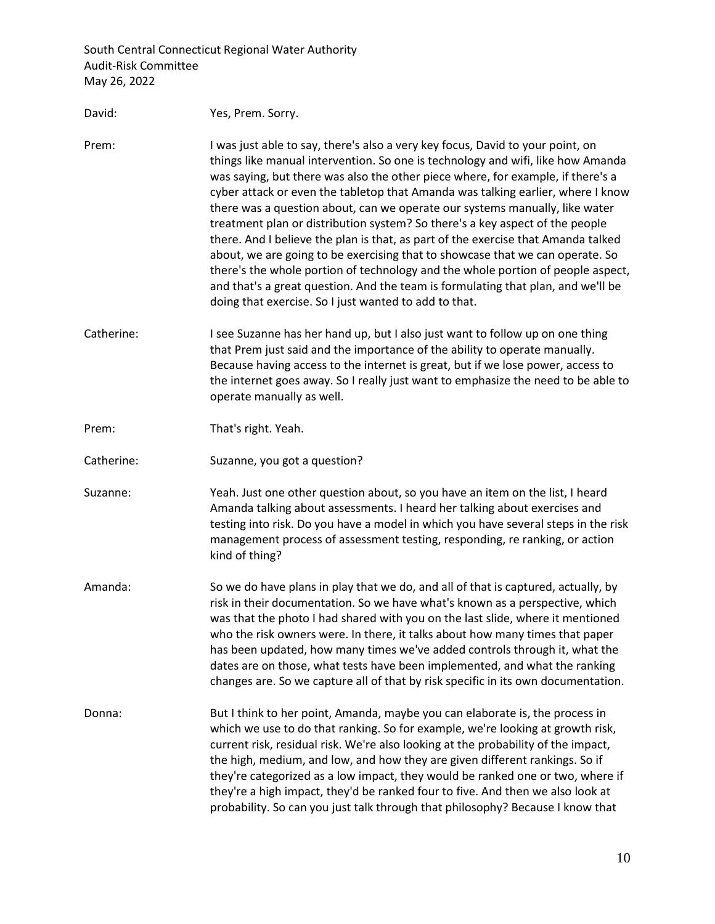| David:     | Yes, Prem. Sorry.                                                                                                                                                                                                                                                                                                                                                                                                                                                                                                                                                                                                                                                                                                                                                                                                                                                                                            |
|------------|--------------------------------------------------------------------------------------------------------------------------------------------------------------------------------------------------------------------------------------------------------------------------------------------------------------------------------------------------------------------------------------------------------------------------------------------------------------------------------------------------------------------------------------------------------------------------------------------------------------------------------------------------------------------------------------------------------------------------------------------------------------------------------------------------------------------------------------------------------------------------------------------------------------|
| Prem:      | I was just able to say, there's also a very key focus, David to your point, on<br>things like manual intervention. So one is technology and wifi, like how Amanda<br>was saying, but there was also the other piece where, for example, if there's a<br>cyber attack or even the tabletop that Amanda was talking earlier, where I know<br>there was a question about, can we operate our systems manually, like water<br>treatment plan or distribution system? So there's a key aspect of the people<br>there. And I believe the plan is that, as part of the exercise that Amanda talked<br>about, we are going to be exercising that to showcase that we can operate. So<br>there's the whole portion of technology and the whole portion of people aspect,<br>and that's a great question. And the team is formulating that plan, and we'll be<br>doing that exercise. So I just wanted to add to that. |
| Catherine: | I see Suzanne has her hand up, but I also just want to follow up on one thing<br>that Prem just said and the importance of the ability to operate manually.<br>Because having access to the internet is great, but if we lose power, access to<br>the internet goes away. So I really just want to emphasize the need to be able to<br>operate manually as well.                                                                                                                                                                                                                                                                                                                                                                                                                                                                                                                                             |
| Prem:      | That's right. Yeah.                                                                                                                                                                                                                                                                                                                                                                                                                                                                                                                                                                                                                                                                                                                                                                                                                                                                                          |
| Catherine: | Suzanne, you got a question?                                                                                                                                                                                                                                                                                                                                                                                                                                                                                                                                                                                                                                                                                                                                                                                                                                                                                 |
| Suzanne:   | Yeah. Just one other question about, so you have an item on the list, I heard<br>Amanda talking about assessments. I heard her talking about exercises and<br>testing into risk. Do you have a model in which you have several steps in the risk<br>management process of assessment testing, responding, re ranking, or action<br>kind of thing?                                                                                                                                                                                                                                                                                                                                                                                                                                                                                                                                                            |
| Amanda:    | So we do have plans in play that we do, and all of that is captured, actually, by<br>risk in their documentation. So we have what's known as a perspective, which<br>was that the photo I had shared with you on the last slide, where it mentioned<br>who the risk owners were. In there, it talks about how many times that paper<br>has been updated, how many times we've added controls through it, what the<br>dates are on those, what tests have been implemented, and what the ranking<br>changes are. So we capture all of that by risk specific in its own documentation.                                                                                                                                                                                                                                                                                                                         |
| Donna:     | But I think to her point, Amanda, maybe you can elaborate is, the process in<br>which we use to do that ranking. So for example, we're looking at growth risk,<br>current risk, residual risk. We're also looking at the probability of the impact,<br>the high, medium, and low, and how they are given different rankings. So if<br>they're categorized as a low impact, they would be ranked one or two, where if<br>they're a high impact, they'd be ranked four to five. And then we also look at<br>probability. So can you just talk through that philosophy? Because I know that                                                                                                                                                                                                                                                                                                                     |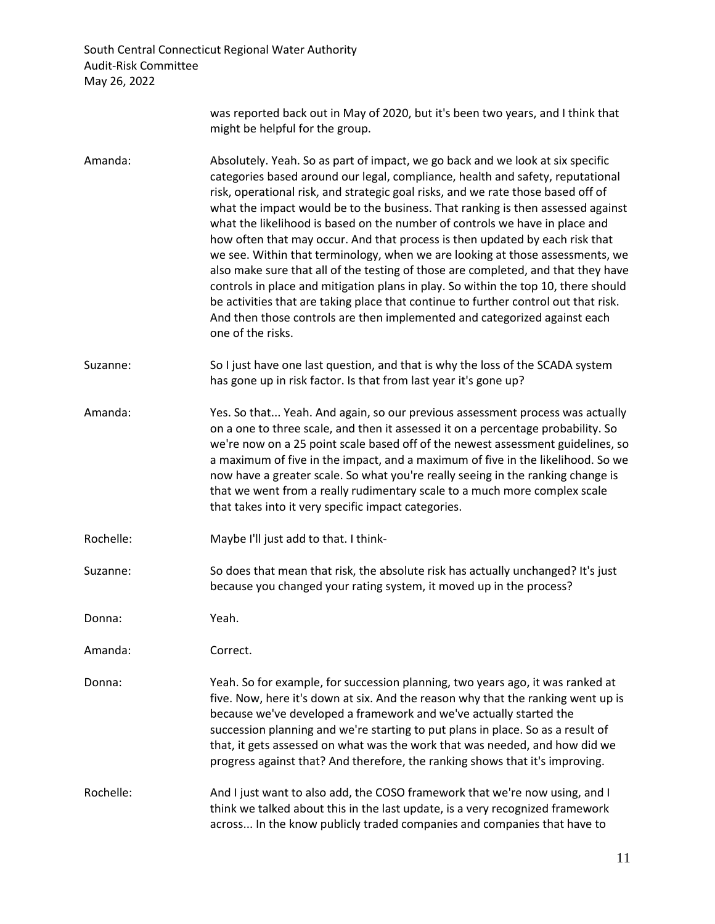> was reported back out in May of 2020, but it's been two years, and I think that might be helpful for the group.

Amanda: Absolutely. Yeah. So as part of impact, we go back and we look at six specific categories based around our legal, compliance, health and safety, reputational risk, operational risk, and strategic goal risks, and we rate those based off of what the impact would be to the business. That ranking is then assessed against what the likelihood is based on the number of controls we have in place and how often that may occur. And that process is then updated by each risk that we see. Within that terminology, when we are looking at those assessments, we also make sure that all of the testing of those are completed, and that they have controls in place and mitigation plans in play. So within the top 10, there should be activities that are taking place that continue to further control out that risk. And then those controls are then implemented and categorized against each one of the risks.

Suzanne: So I just have one last question, and that is why the loss of the SCADA system has gone up in risk factor. Is that from last year it's gone up?

Amanda: Yes. So that... Yeah. And again, so our previous assessment process was actually on a one to three scale, and then it assessed it on a percentage probability. So we're now on a 25 point scale based off of the newest assessment guidelines, so a maximum of five in the impact, and a maximum of five in the likelihood. So we now have a greater scale. So what you're really seeing in the ranking change is that we went from a really rudimentary scale to a much more complex scale that takes into it very specific impact categories.

Rochelle: Maybe I'll just add to that. I think-

Suzanne: So does that mean that risk, the absolute risk has actually unchanged? It's just because you changed your rating system, it moved up in the process?

Donna: Yeah.

Amanda: Correct.

Donna: Yeah. So for example, for succession planning, two years ago, it was ranked at five. Now, here it's down at six. And the reason why that the ranking went up is because we've developed a framework and we've actually started the succession planning and we're starting to put plans in place. So as a result of that, it gets assessed on what was the work that was needed, and how did we progress against that? And therefore, the ranking shows that it's improving.

Rochelle: And I just want to also add, the COSO framework that we're now using, and I think we talked about this in the last update, is a very recognized framework across... In the know publicly traded companies and companies that have to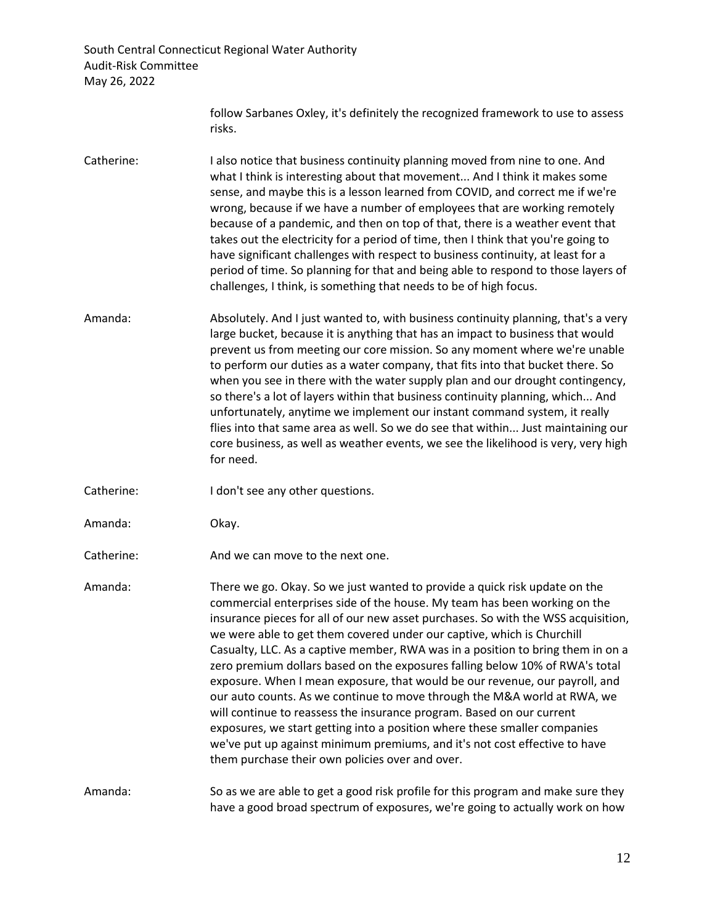follow Sarbanes Oxley, it's definitely the recognized framework to use to assess risks.

- Catherine: I also notice that business continuity planning moved from nine to one. And what I think is interesting about that movement... And I think it makes some sense, and maybe this is a lesson learned from COVID, and correct me if we're wrong, because if we have a number of employees that are working remotely because of a pandemic, and then on top of that, there is a weather event that takes out the electricity for a period of time, then I think that you're going to have significant challenges with respect to business continuity, at least for a period of time. So planning for that and being able to respond to those layers of challenges, I think, is something that needs to be of high focus.
- Amanda: Absolutely. And I just wanted to, with business continuity planning, that's a very large bucket, because it is anything that has an impact to business that would prevent us from meeting our core mission. So any moment where we're unable to perform our duties as a water company, that fits into that bucket there. So when you see in there with the water supply plan and our drought contingency, so there's a lot of layers within that business continuity planning, which... And unfortunately, anytime we implement our instant command system, it really flies into that same area as well. So we do see that within... Just maintaining our core business, as well as weather events, we see the likelihood is very, very high for need.
- Catherine: I don't see any other questions.
- Amanda: Okay.
- Catherine: And we can move to the next one.
- Amanda: There we go. Okay. So we just wanted to provide a quick risk update on the commercial enterprises side of the house. My team has been working on the insurance pieces for all of our new asset purchases. So with the WSS acquisition, we were able to get them covered under our captive, which is Churchill Casualty, LLC. As a captive member, RWA was in a position to bring them in on a zero premium dollars based on the exposures falling below 10% of RWA's total exposure. When I mean exposure, that would be our revenue, our payroll, and our auto counts. As we continue to move through the M&A world at RWA, we will continue to reassess the insurance program. Based on our current exposures, we start getting into a position where these smaller companies we've put up against minimum premiums, and it's not cost effective to have them purchase their own policies over and over.

## Amanda: So as we are able to get a good risk profile for this program and make sure they have a good broad spectrum of exposures, we're going to actually work on how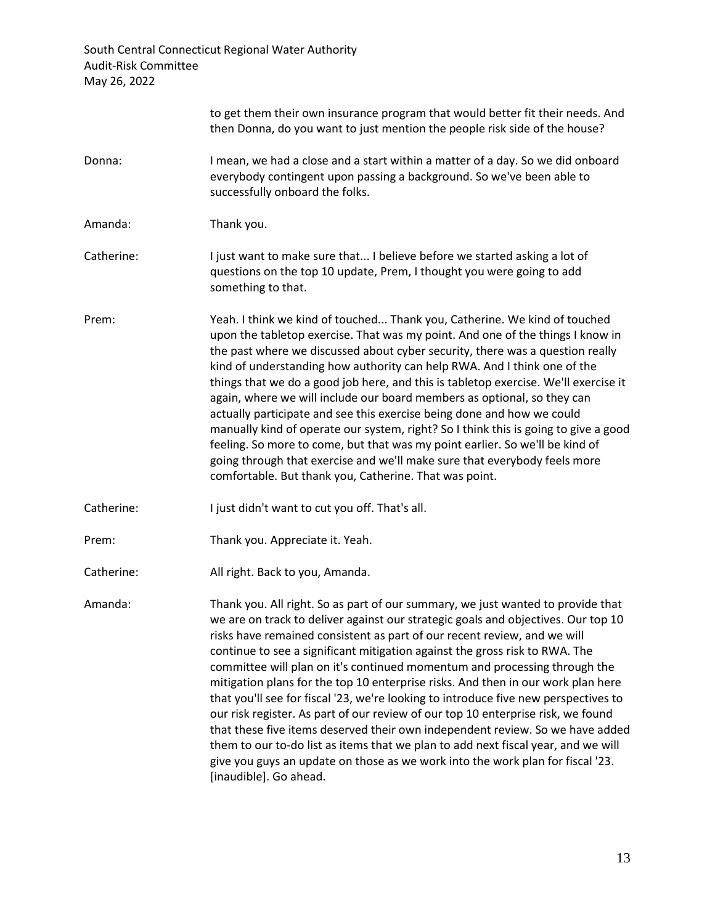|            | to get them their own insurance program that would better fit their needs. And<br>then Donna, do you want to just mention the people risk side of the house?                                                                                                                                                                                                                                                                                                                                                                                                                                                                                                                                                                                                                                                                                                                                                                                                  |
|------------|---------------------------------------------------------------------------------------------------------------------------------------------------------------------------------------------------------------------------------------------------------------------------------------------------------------------------------------------------------------------------------------------------------------------------------------------------------------------------------------------------------------------------------------------------------------------------------------------------------------------------------------------------------------------------------------------------------------------------------------------------------------------------------------------------------------------------------------------------------------------------------------------------------------------------------------------------------------|
| Donna:     | I mean, we had a close and a start within a matter of a day. So we did onboard<br>everybody contingent upon passing a background. So we've been able to<br>successfully onboard the folks.                                                                                                                                                                                                                                                                                                                                                                                                                                                                                                                                                                                                                                                                                                                                                                    |
| Amanda:    | Thank you.                                                                                                                                                                                                                                                                                                                                                                                                                                                                                                                                                                                                                                                                                                                                                                                                                                                                                                                                                    |
| Catherine: | I just want to make sure that I believe before we started asking a lot of<br>questions on the top 10 update, Prem, I thought you were going to add<br>something to that.                                                                                                                                                                                                                                                                                                                                                                                                                                                                                                                                                                                                                                                                                                                                                                                      |
| Prem:      | Yeah. I think we kind of touched Thank you, Catherine. We kind of touched<br>upon the tabletop exercise. That was my point. And one of the things I know in<br>the past where we discussed about cyber security, there was a question really<br>kind of understanding how authority can help RWA. And I think one of the<br>things that we do a good job here, and this is tabletop exercise. We'll exercise it<br>again, where we will include our board members as optional, so they can<br>actually participate and see this exercise being done and how we could<br>manually kind of operate our system, right? So I think this is going to give a good<br>feeling. So more to come, but that was my point earlier. So we'll be kind of<br>going through that exercise and we'll make sure that everybody feels more<br>comfortable. But thank you, Catherine. That was point.                                                                            |
| Catherine: | I just didn't want to cut you off. That's all.                                                                                                                                                                                                                                                                                                                                                                                                                                                                                                                                                                                                                                                                                                                                                                                                                                                                                                                |
| Prem:      | Thank you. Appreciate it. Yeah.                                                                                                                                                                                                                                                                                                                                                                                                                                                                                                                                                                                                                                                                                                                                                                                                                                                                                                                               |
| Catherine: | All right. Back to you, Amanda.                                                                                                                                                                                                                                                                                                                                                                                                                                                                                                                                                                                                                                                                                                                                                                                                                                                                                                                               |
| Amanda:    | Thank you. All right. So as part of our summary, we just wanted to provide that<br>we are on track to deliver against our strategic goals and objectives. Our top 10<br>risks have remained consistent as part of our recent review, and we will<br>continue to see a significant mitigation against the gross risk to RWA. The<br>committee will plan on it's continued momentum and processing through the<br>mitigation plans for the top 10 enterprise risks. And then in our work plan here<br>that you'll see for fiscal '23, we're looking to introduce five new perspectives to<br>our risk register. As part of our review of our top 10 enterprise risk, we found<br>that these five items deserved their own independent review. So we have added<br>them to our to-do list as items that we plan to add next fiscal year, and we will<br>give you guys an update on those as we work into the work plan for fiscal '23.<br>[inaudible]. Go ahead. |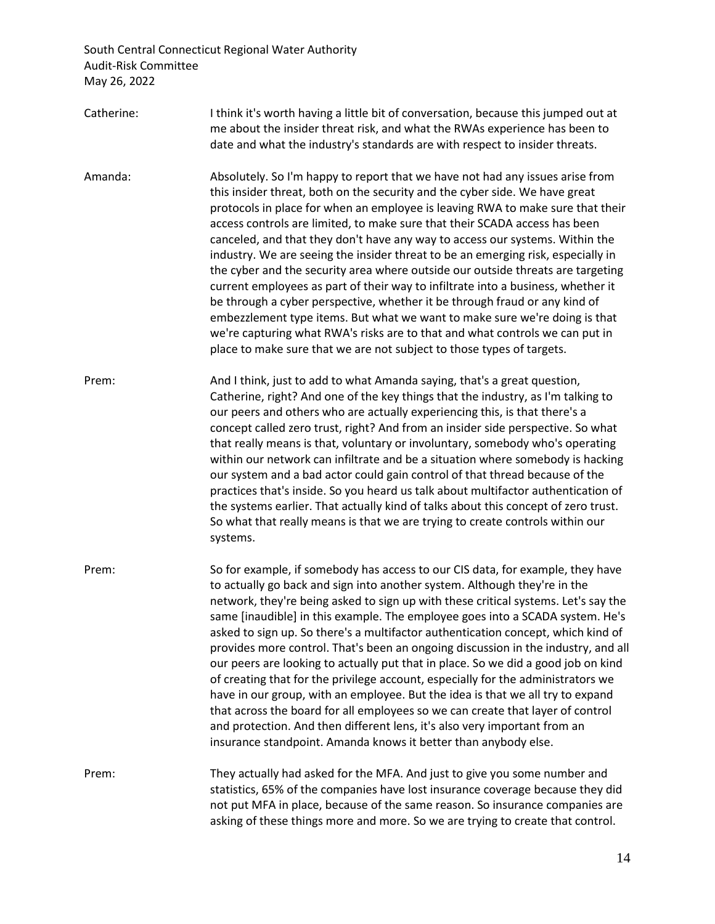- Catherine: I think it's worth having a little bit of conversation, because this jumped out at me about the insider threat risk, and what the RWAs experience has been to date and what the industry's standards are with respect to insider threats.
- Amanda: Absolutely. So I'm happy to report that we have not had any issues arise from this insider threat, both on the security and the cyber side. We have great protocols in place for when an employee is leaving RWA to make sure that their access controls are limited, to make sure that their SCADA access has been canceled, and that they don't have any way to access our systems. Within the industry. We are seeing the insider threat to be an emerging risk, especially in the cyber and the security area where outside our outside threats are targeting current employees as part of their way to infiltrate into a business, whether it be through a cyber perspective, whether it be through fraud or any kind of embezzlement type items. But what we want to make sure we're doing is that we're capturing what RWA's risks are to that and what controls we can put in place to make sure that we are not subject to those types of targets.
- Prem: And I think, just to add to what Amanda saying, that's a great question, Catherine, right? And one of the key things that the industry, as I'm talking to our peers and others who are actually experiencing this, is that there's a concept called zero trust, right? And from an insider side perspective. So what that really means is that, voluntary or involuntary, somebody who's operating within our network can infiltrate and be a situation where somebody is hacking our system and a bad actor could gain control of that thread because of the practices that's inside. So you heard us talk about multifactor authentication of the systems earlier. That actually kind of talks about this concept of zero trust. So what that really means is that we are trying to create controls within our systems.
- Prem: So for example, if somebody has access to our CIS data, for example, they have to actually go back and sign into another system. Although they're in the network, they're being asked to sign up with these critical systems. Let's say the same [inaudible] in this example. The employee goes into a SCADA system. He's asked to sign up. So there's a multifactor authentication concept, which kind of provides more control. That's been an ongoing discussion in the industry, and all our peers are looking to actually put that in place. So we did a good job on kind of creating that for the privilege account, especially for the administrators we have in our group, with an employee. But the idea is that we all try to expand that across the board for all employees so we can create that layer of control and protection. And then different lens, it's also very important from an insurance standpoint. Amanda knows it better than anybody else.
- Prem: They actually had asked for the MFA. And just to give you some number and statistics, 65% of the companies have lost insurance coverage because they did not put MFA in place, because of the same reason. So insurance companies are asking of these things more and more. So we are trying to create that control.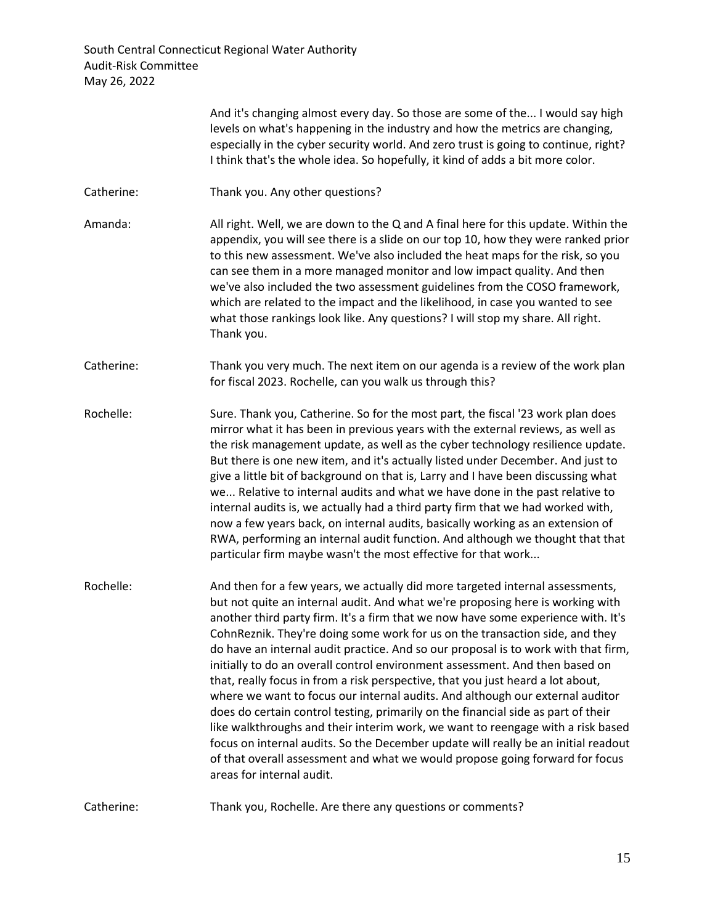|            | And it's changing almost every day. So those are some of the I would say high<br>levels on what's happening in the industry and how the metrics are changing,<br>especially in the cyber security world. And zero trust is going to continue, right?<br>I think that's the whole idea. So hopefully, it kind of adds a bit more color.                                                                                                                                                                                                                                                                                                                                                                                                                                                                                                                                                                                                                                                                                                                    |
|------------|-----------------------------------------------------------------------------------------------------------------------------------------------------------------------------------------------------------------------------------------------------------------------------------------------------------------------------------------------------------------------------------------------------------------------------------------------------------------------------------------------------------------------------------------------------------------------------------------------------------------------------------------------------------------------------------------------------------------------------------------------------------------------------------------------------------------------------------------------------------------------------------------------------------------------------------------------------------------------------------------------------------------------------------------------------------|
| Catherine: | Thank you. Any other questions?                                                                                                                                                                                                                                                                                                                                                                                                                                                                                                                                                                                                                                                                                                                                                                                                                                                                                                                                                                                                                           |
| Amanda:    | All right. Well, we are down to the Q and A final here for this update. Within the<br>appendix, you will see there is a slide on our top 10, how they were ranked prior<br>to this new assessment. We've also included the heat maps for the risk, so you<br>can see them in a more managed monitor and low impact quality. And then<br>we've also included the two assessment guidelines from the COSO framework,<br>which are related to the impact and the likelihood, in case you wanted to see<br>what those rankings look like. Any questions? I will stop my share. All right.<br>Thank you.                                                                                                                                                                                                                                                                                                                                                                                                                                                       |
| Catherine: | Thank you very much. The next item on our agenda is a review of the work plan<br>for fiscal 2023. Rochelle, can you walk us through this?                                                                                                                                                                                                                                                                                                                                                                                                                                                                                                                                                                                                                                                                                                                                                                                                                                                                                                                 |
| Rochelle:  | Sure. Thank you, Catherine. So for the most part, the fiscal '23 work plan does<br>mirror what it has been in previous years with the external reviews, as well as<br>the risk management update, as well as the cyber technology resilience update.<br>But there is one new item, and it's actually listed under December. And just to<br>give a little bit of background on that is, Larry and I have been discussing what<br>we Relative to internal audits and what we have done in the past relative to<br>internal audits is, we actually had a third party firm that we had worked with,<br>now a few years back, on internal audits, basically working as an extension of<br>RWA, performing an internal audit function. And although we thought that that<br>particular firm maybe wasn't the most effective for that work                                                                                                                                                                                                                       |
| Rochelle:  | And then for a few years, we actually did more targeted internal assessments,<br>but not quite an internal audit. And what we're proposing here is working with<br>another third party firm. It's a firm that we now have some experience with. It's<br>CohnReznik. They're doing some work for us on the transaction side, and they<br>do have an internal audit practice. And so our proposal is to work with that firm,<br>initially to do an overall control environment assessment. And then based on<br>that, really focus in from a risk perspective, that you just heard a lot about,<br>where we want to focus our internal audits. And although our external auditor<br>does do certain control testing, primarily on the financial side as part of their<br>like walkthroughs and their interim work, we want to reengage with a risk based<br>focus on internal audits. So the December update will really be an initial readout<br>of that overall assessment and what we would propose going forward for focus<br>areas for internal audit. |

Catherine: Thank you, Rochelle. Are there any questions or comments?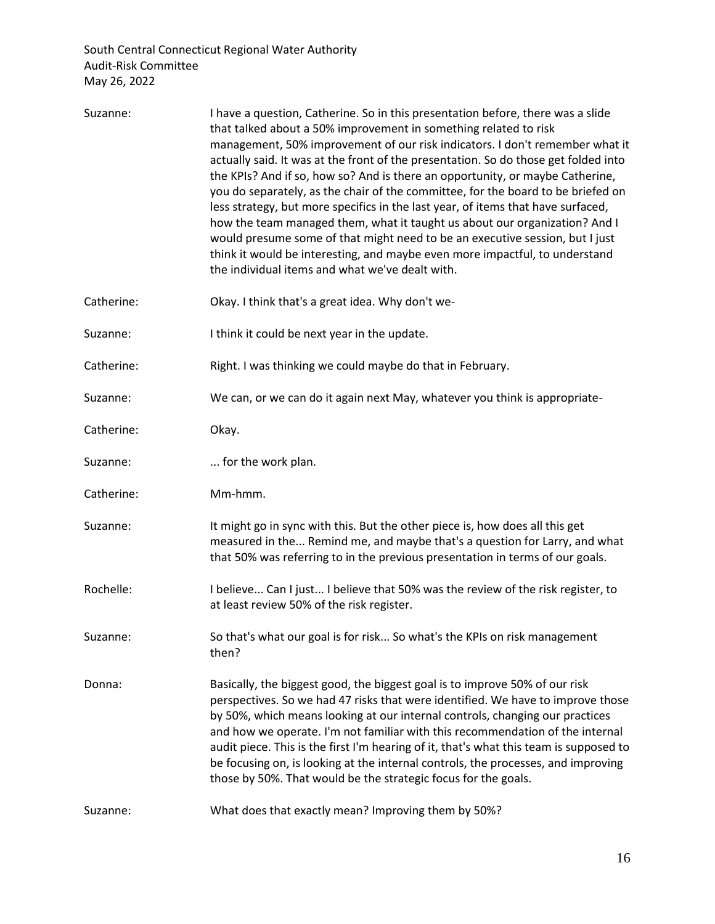| Suzanne:   | I have a question, Catherine. So in this presentation before, there was a slide<br>that talked about a 50% improvement in something related to risk<br>management, 50% improvement of our risk indicators. I don't remember what it<br>actually said. It was at the front of the presentation. So do those get folded into<br>the KPIs? And if so, how so? And is there an opportunity, or maybe Catherine,<br>you do separately, as the chair of the committee, for the board to be briefed on<br>less strategy, but more specifics in the last year, of items that have surfaced,<br>how the team managed them, what it taught us about our organization? And I<br>would presume some of that might need to be an executive session, but I just<br>think it would be interesting, and maybe even more impactful, to understand<br>the individual items and what we've dealt with. |
|------------|-------------------------------------------------------------------------------------------------------------------------------------------------------------------------------------------------------------------------------------------------------------------------------------------------------------------------------------------------------------------------------------------------------------------------------------------------------------------------------------------------------------------------------------------------------------------------------------------------------------------------------------------------------------------------------------------------------------------------------------------------------------------------------------------------------------------------------------------------------------------------------------|
| Catherine: | Okay. I think that's a great idea. Why don't we-                                                                                                                                                                                                                                                                                                                                                                                                                                                                                                                                                                                                                                                                                                                                                                                                                                    |
| Suzanne:   | I think it could be next year in the update.                                                                                                                                                                                                                                                                                                                                                                                                                                                                                                                                                                                                                                                                                                                                                                                                                                        |
| Catherine: | Right. I was thinking we could maybe do that in February.                                                                                                                                                                                                                                                                                                                                                                                                                                                                                                                                                                                                                                                                                                                                                                                                                           |
| Suzanne:   | We can, or we can do it again next May, whatever you think is appropriate-                                                                                                                                                                                                                                                                                                                                                                                                                                                                                                                                                                                                                                                                                                                                                                                                          |
| Catherine: | Okay.                                                                                                                                                                                                                                                                                                                                                                                                                                                                                                                                                                                                                                                                                                                                                                                                                                                                               |
| Suzanne:   | for the work plan.                                                                                                                                                                                                                                                                                                                                                                                                                                                                                                                                                                                                                                                                                                                                                                                                                                                                  |
| Catherine: | Mm-hmm.                                                                                                                                                                                                                                                                                                                                                                                                                                                                                                                                                                                                                                                                                                                                                                                                                                                                             |
| Suzanne:   | It might go in sync with this. But the other piece is, how does all this get<br>measured in the Remind me, and maybe that's a question for Larry, and what<br>that 50% was referring to in the previous presentation in terms of our goals.                                                                                                                                                                                                                                                                                                                                                                                                                                                                                                                                                                                                                                         |
| Rochelle:  | I believe Can I just I believe that 50% was the review of the risk register, to<br>at least review 50% of the risk register.                                                                                                                                                                                                                                                                                                                                                                                                                                                                                                                                                                                                                                                                                                                                                        |
| Suzanne:   | So that's what our goal is for risk So what's the KPIs on risk management<br>then?                                                                                                                                                                                                                                                                                                                                                                                                                                                                                                                                                                                                                                                                                                                                                                                                  |
| Donna:     | Basically, the biggest good, the biggest goal is to improve 50% of our risk<br>perspectives. So we had 47 risks that were identified. We have to improve those<br>by 50%, which means looking at our internal controls, changing our practices<br>and how we operate. I'm not familiar with this recommendation of the internal<br>audit piece. This is the first I'm hearing of it, that's what this team is supposed to<br>be focusing on, is looking at the internal controls, the processes, and improving<br>those by 50%. That would be the strategic focus for the goals.                                                                                                                                                                                                                                                                                                    |
| Suzanne:   | What does that exactly mean? Improving them by 50%?                                                                                                                                                                                                                                                                                                                                                                                                                                                                                                                                                                                                                                                                                                                                                                                                                                 |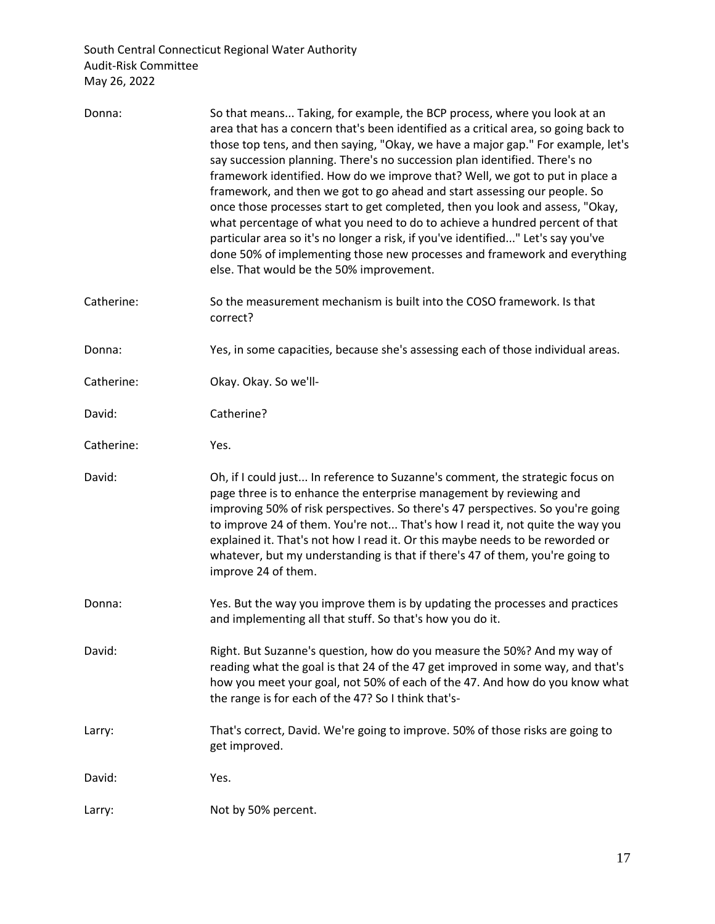| Donna:     | So that means Taking, for example, the BCP process, where you look at an<br>area that has a concern that's been identified as a critical area, so going back to<br>those top tens, and then saying, "Okay, we have a major gap." For example, let's<br>say succession planning. There's no succession plan identified. There's no<br>framework identified. How do we improve that? Well, we got to put in place a<br>framework, and then we got to go ahead and start assessing our people. So<br>once those processes start to get completed, then you look and assess, "Okay,<br>what percentage of what you need to do to achieve a hundred percent of that<br>particular area so it's no longer a risk, if you've identified" Let's say you've<br>done 50% of implementing those new processes and framework and everything<br>else. That would be the 50% improvement. |
|------------|-----------------------------------------------------------------------------------------------------------------------------------------------------------------------------------------------------------------------------------------------------------------------------------------------------------------------------------------------------------------------------------------------------------------------------------------------------------------------------------------------------------------------------------------------------------------------------------------------------------------------------------------------------------------------------------------------------------------------------------------------------------------------------------------------------------------------------------------------------------------------------|
| Catherine: | So the measurement mechanism is built into the COSO framework. Is that<br>correct?                                                                                                                                                                                                                                                                                                                                                                                                                                                                                                                                                                                                                                                                                                                                                                                          |
| Donna:     | Yes, in some capacities, because she's assessing each of those individual areas.                                                                                                                                                                                                                                                                                                                                                                                                                                                                                                                                                                                                                                                                                                                                                                                            |
| Catherine: | Okay. Okay. So we'll-                                                                                                                                                                                                                                                                                                                                                                                                                                                                                                                                                                                                                                                                                                                                                                                                                                                       |
| David:     | Catherine?                                                                                                                                                                                                                                                                                                                                                                                                                                                                                                                                                                                                                                                                                                                                                                                                                                                                  |
| Catherine: | Yes.                                                                                                                                                                                                                                                                                                                                                                                                                                                                                                                                                                                                                                                                                                                                                                                                                                                                        |
| David:     | Oh, if I could just In reference to Suzanne's comment, the strategic focus on<br>page three is to enhance the enterprise management by reviewing and<br>improving 50% of risk perspectives. So there's 47 perspectives. So you're going<br>to improve 24 of them. You're not That's how I read it, not quite the way you<br>explained it. That's not how I read it. Or this maybe needs to be reworded or<br>whatever, but my understanding is that if there's 47 of them, you're going to<br>improve 24 of them.                                                                                                                                                                                                                                                                                                                                                           |
| Donna:     | Yes. But the way you improve them is by updating the processes and practices<br>and implementing all that stuff. So that's how you do it.                                                                                                                                                                                                                                                                                                                                                                                                                                                                                                                                                                                                                                                                                                                                   |
| David:     | Right. But Suzanne's question, how do you measure the 50%? And my way of<br>reading what the goal is that 24 of the 47 get improved in some way, and that's<br>how you meet your goal, not 50% of each of the 47. And how do you know what<br>the range is for each of the 47? So I think that's-                                                                                                                                                                                                                                                                                                                                                                                                                                                                                                                                                                           |
| Larry:     | That's correct, David. We're going to improve. 50% of those risks are going to<br>get improved.                                                                                                                                                                                                                                                                                                                                                                                                                                                                                                                                                                                                                                                                                                                                                                             |
| David:     | Yes.                                                                                                                                                                                                                                                                                                                                                                                                                                                                                                                                                                                                                                                                                                                                                                                                                                                                        |
| Larry:     | Not by 50% percent.                                                                                                                                                                                                                                                                                                                                                                                                                                                                                                                                                                                                                                                                                                                                                                                                                                                         |